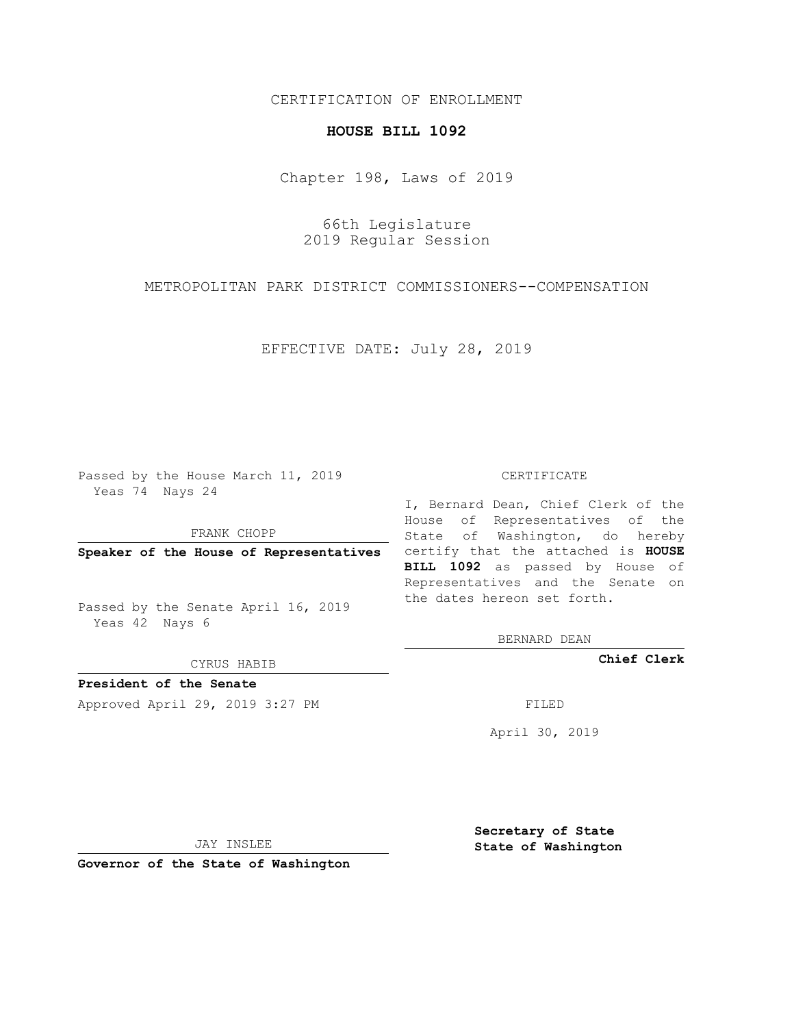## CERTIFICATION OF ENROLLMENT

## **HOUSE BILL 1092**

Chapter 198, Laws of 2019

66th Legislature 2019 Regular Session

METROPOLITAN PARK DISTRICT COMMISSIONERS--COMPENSATION

EFFECTIVE DATE: July 28, 2019

Passed by the House March 11, 2019 Yeas 74 Nays 24

FRANK CHOPP

Passed by the Senate April 16, 2019 Yeas 42 Nays 6

CYRUS HABIB

**President of the Senate**

Approved April 29, 2019 3:27 PM FILED

## CERTIFICATE

**Speaker of the House of Representatives** certify that the attached is **HOUSE** I, Bernard Dean, Chief Clerk of the House of Representatives of the State of Washington, do hereby **BILL 1092** as passed by House of Representatives and the Senate on the dates hereon set forth.

BERNARD DEAN

**Chief Clerk**

April 30, 2019

JAY INSLEE

**Governor of the State of Washington**

**Secretary of State State of Washington**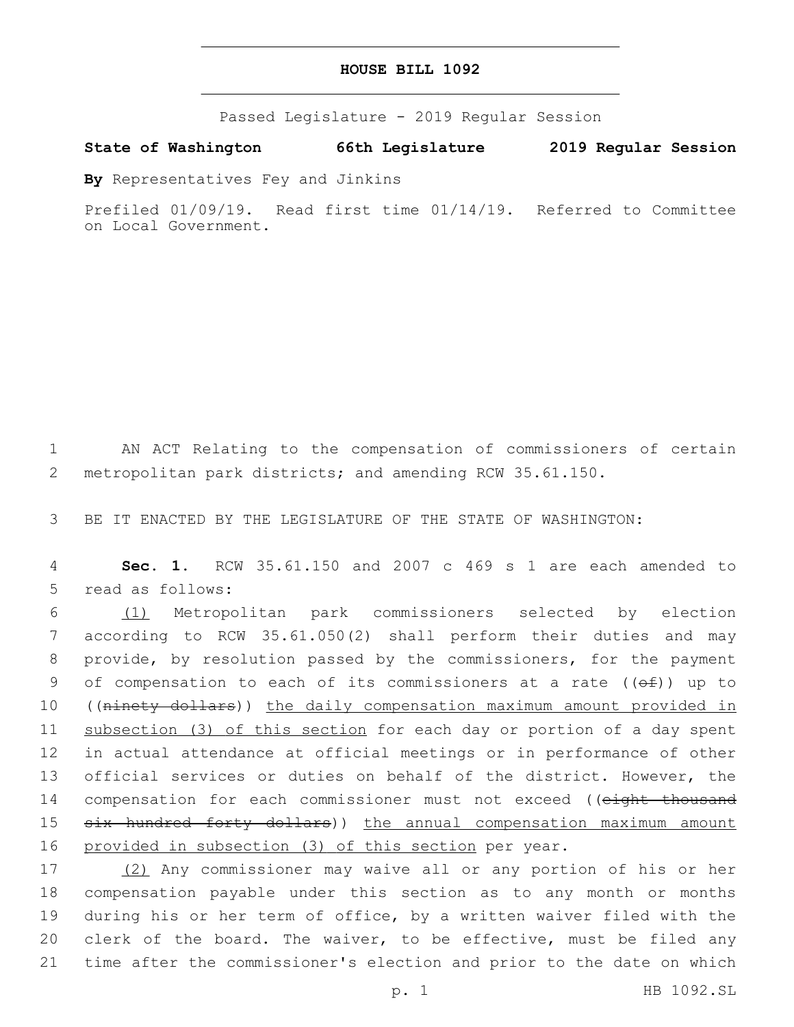Passed Legislature - 2019 Regular Session

**State of Washington 66th Legislature 2019 Regular Session**

**By** Representatives Fey and Jinkins

Prefiled 01/09/19. Read first time 01/14/19. Referred to Committee on Local Government.

1 AN ACT Relating to the compensation of commissioners of certain 2 metropolitan park districts; and amending RCW 35.61.150.

3 BE IT ENACTED BY THE LEGISLATURE OF THE STATE OF WASHINGTON:

4 **Sec. 1.** RCW 35.61.150 and 2007 c 469 s 1 are each amended to 5 read as follows:

 (1) Metropolitan park commissioners selected by election according to RCW 35.61.050(2) shall perform their duties and may provide, by resolution passed by the commissioners, for the payment 9 of compensation to each of its commissioners at a rate  $((\theta \pm))$  up to 10 ((ninety dollars)) the daily compensation maximum amount provided in subsection (3) of this section for each day or portion of a day spent in actual attendance at official meetings or in performance of other official services or duties on behalf of the district. However, the 14 compensation for each commissioner must not exceed ((eight thousand 15 six hundred forty dollars)) the annual compensation maximum amount provided in subsection (3) of this section per year.

 (2) Any commissioner may waive all or any portion of his or her compensation payable under this section as to any month or months during his or her term of office, by a written waiver filed with the 20 clerk of the board. The waiver, to be effective, must be filed any time after the commissioner's election and prior to the date on which